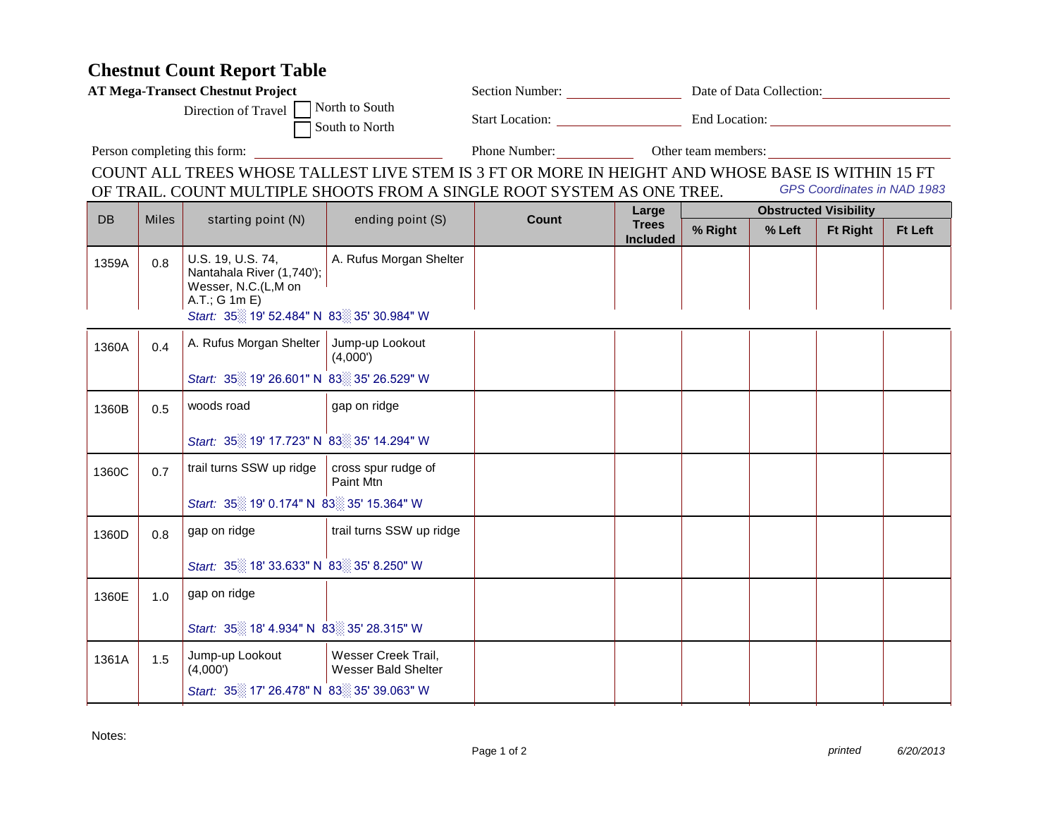## **Chestnut Count Report Table**

| <b>AT Mega-Transect Chestnut Project</b>             |       |                                                                                                                                    |                                                   |                                                                                                                                                                            | Section Number: Date of Data Collection: |                                   |        |                             |                |  |
|------------------------------------------------------|-------|------------------------------------------------------------------------------------------------------------------------------------|---------------------------------------------------|----------------------------------------------------------------------------------------------------------------------------------------------------------------------------|------------------------------------------|-----------------------------------|--------|-----------------------------|----------------|--|
| Direction of Travel North to South<br>South to North |       |                                                                                                                                    |                                                   |                                                                                                                                                                            | Start Location: End Location:            |                                   |        |                             |                |  |
| Person completing this form:                         |       |                                                                                                                                    |                                                   |                                                                                                                                                                            |                                          | Phone Number: Other team members: |        |                             |                |  |
|                                                      |       |                                                                                                                                    |                                                   | COUNT ALL TREES WHOSE TALLEST LIVE STEM IS 3 FT OR MORE IN HEIGHT AND WHOSE BASE IS WITHIN 15 FT<br>OF TRAIL. COUNT MULTIPLE SHOOTS FROM A SINGLE ROOT SYSTEM AS ONE TREE. |                                          |                                   |        | GPS Coordinates in NAD 1983 |                |  |
|                                                      |       |                                                                                                                                    |                                                   |                                                                                                                                                                            | Large                                    | <b>Obstructed Visibility</b>      |        |                             |                |  |
| DB                                                   | Miles | starting point (N)                                                                                                                 | ending point (S)                                  | Count                                                                                                                                                                      | <b>Trees</b><br><b>Included</b>          | % Right                           | % Left | <b>Ft Right</b>             | <b>Ft Left</b> |  |
| 1359A                                                | 0.8   | U.S. 19, U.S. 74,<br>Nantahala River (1,740');<br>Wesser, N.C.(L,M on<br>A.T.; G 1m E)<br>Start: 35 19' 52.484" N 83 35' 30.984" W | A. Rufus Morgan Shelter                           |                                                                                                                                                                            |                                          |                                   |        |                             |                |  |
| 1360A                                                | 0.4   | A. Rufus Morgan Shelter   Jump-up Lookout                                                                                          | (4,000')                                          |                                                                                                                                                                            |                                          |                                   |        |                             |                |  |
|                                                      |       | Start: 35 19' 26.601" N 83 35' 26.529" W                                                                                           |                                                   |                                                                                                                                                                            |                                          |                                   |        |                             |                |  |
| 1360B                                                | 0.5   | woods road                                                                                                                         | gap on ridge                                      |                                                                                                                                                                            |                                          |                                   |        |                             |                |  |
|                                                      |       | Start: 35 19' 17.723" N 83 35' 14.294" W                                                                                           |                                                   |                                                                                                                                                                            |                                          |                                   |        |                             |                |  |
| 1360C                                                | 0.7   | trail turns SSW up ridge                                                                                                           | cross spur rudge of<br>Paint Mtn                  |                                                                                                                                                                            |                                          |                                   |        |                             |                |  |
| Start: 35 19' 0.174" N 83 35' 15.364" W              |       |                                                                                                                                    |                                                   |                                                                                                                                                                            |                                          |                                   |        |                             |                |  |
| 1360D                                                | 0.8   | gap on ridge                                                                                                                       | trail turns SSW up ridge                          |                                                                                                                                                                            |                                          |                                   |        |                             |                |  |
|                                                      |       | Start: 35 18' 33.633" N 83 35' 8.250" W                                                                                            |                                                   |                                                                                                                                                                            |                                          |                                   |        |                             |                |  |
| 1360E                                                | 1.0   | gap on ridge                                                                                                                       |                                                   |                                                                                                                                                                            |                                          |                                   |        |                             |                |  |
|                                                      |       | Start: 35 18' 4.934" N 83 35' 28.315" W                                                                                            |                                                   |                                                                                                                                                                            |                                          |                                   |        |                             |                |  |
| 1361A                                                | 1.5   | Jump-up Lookout<br>(4,000')                                                                                                        | Wesser Creek Trail.<br><b>Wesser Bald Shelter</b> |                                                                                                                                                                            |                                          |                                   |        |                             |                |  |
|                                                      |       | Start: 35 17' 26.478" N 83 35' 39.063" W                                                                                           |                                                   |                                                                                                                                                                            |                                          |                                   |        |                             |                |  |